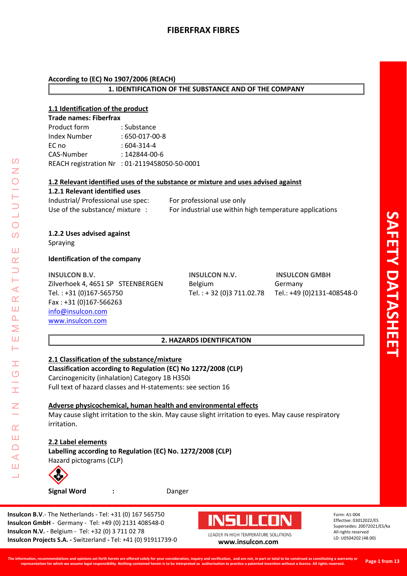#### **According to (EC) No 1907/2006 (REACH)**

#### **1. IDENTIFICATION OF THE SUBSTANCE AND OF THE COMPANY**

### **1.1 Identification of the product**

| <b>Trade names: Fiberfrax</b> |                                               |  |
|-------------------------------|-----------------------------------------------|--|
| Product form                  | : Substance                                   |  |
| <b>Index Number</b>           | $:650-017-00-8$                               |  |
| EC no                         | $:604-314-4$                                  |  |
| CAS-Number                    | $: 142844 - 00 - 6$                           |  |
|                               | REACH registration Nr : 01-2119458050-50-0001 |  |

#### **1.2 Relevant identified uses of the substance or mixture and uses advised against**

## **1.2.1 Relevant identified uses**

| Industrial/ Professional use spec: | For professional use only                               |
|------------------------------------|---------------------------------------------------------|
| Use of the substance/ mixture .    | For industrial use within high temperature applications |

#### **1.2.2 Uses advised against** Spraying

LEADER IN HIGH TEMPERATURE SOLUTIONS

Ŧ.  $\overline{O}$ 

I

 $\alpha$ Ш  $\Box$  $\blacktriangleleft$ Ш  $\overline{\phantom{0}}$ 

 $\prec$  $\alpha$ Ш  $\overline{\mathbf{r}}$ Σ Ш Н

 $\Omega$ Z

 $\bigcirc$  $\overline{O}$ 

Ш  $\alpha$  $\overline{\phantom{0}}$ 

#### **Identification of the company**

**INSULCON B.V. INSULCON N.V. INSULCON GMBH** Zilverhoek 4, 4651 SP STEENBERGEN Belgium Germany Tel. : +31 (0)167-565750 Tel. : + 32 (0)3 711.02.78 Tel.: +49 (0)2131-408548-0 Fax : +31 (0)167-566263 [info@insulcon.com](mailto:info@insulcon.com)  [www.insulcon.com](http://www.insulcon.com/)

### **2. HAZARDS IDENTIFICATION**

## **2.1 Classification of the substance/mixture**

**Classification according to Regulation (EC) No 1272/2008 (CLP)** Carcinogenicity (inhalation) Category 1B H350i Full text of hazard classes and H-statements: see section 16

#### **Adverse physicochemical, human health and environmental effects**

May cause slight irritation to the skin. May cause slight irritation to eyes. May cause respiratory irritation.

#### **2.2 Label elements**

**Labelling according to Regulation (EC) No. 1272/2008 (CLP)** Hazard pictograms (CLP)



**Signal Word :** Danger

**Insulcon B.V**.- The Netherlands - Tel: +31 (0) 167 565750 **Insulcon GmbH** - Germany - Tel: +49 (0) 2131 408548-0 **Insulcon N.V.** - Belgium - Tel: +32 (0) 3 711 02 78 **Insulcon Projects S.A. -** Switzerland **-** Tel: +41 (0) 91911739-0 **[www.insulcon.com](http://www.insulcon.com/)**

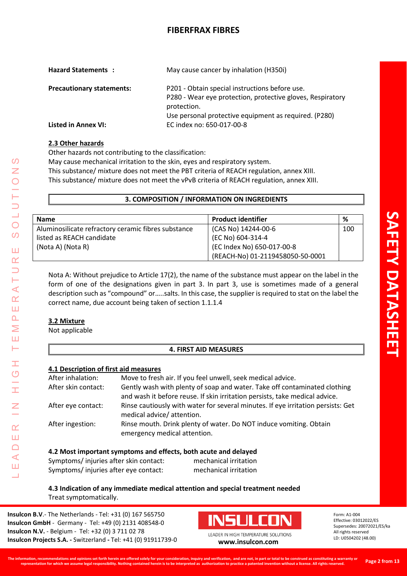| <b>Hazard Statements:</b>        | May cause cancer by inhalation (H350i)                                                                                                                                               |
|----------------------------------|--------------------------------------------------------------------------------------------------------------------------------------------------------------------------------------|
| <b>Precautionary statements:</b> | P201 - Obtain special instructions before use.<br>P280 - Wear eye protection, protective gloves, Respiratory<br>protection.<br>Use personal protective equipment as required. (P280) |
| Listed in Annex VI:              | EC index no: 650-017-00-8                                                                                                                                                            |

## **2.3 Other hazards**

Other hazards not contributing to the classification:

May cause mechanical irritation to the skin, eyes and respiratory system.

This substance/ mixture does not meet the PBT criteria of REACH regulation, annex XIII.

This substance/ mixture does not meet the vPvB criteria of REACH regulation, annex XIII.

#### **3. COMPOSITION / INFORMATION ON INGREDIENTS**

| <b>Name</b>                                         | <b>Product identifier</b>        | ℅   |
|-----------------------------------------------------|----------------------------------|-----|
| Aluminosilicate refractory ceramic fibres substance | $(CAS No) 14244-00-6$            | 100 |
| listed as REACH candidate                           | (EC No) 604-314-4                |     |
| (Nota A) (Nota R)                                   | (EC Index No) 650-017-00-8       |     |
|                                                     | (REACH-No) 01-2119458050-50-0001 |     |

Nota A: Without prejudice to Article 17(2), the name of the substance must appear on the label in the form of one of the designations given in part 3. In part 3, use is sometimes made of a general description such as "compound" or…..salts. In this case, the supplier is required to stat on the label the correct name, due account being taken of section 1.1.1.4

## **3.2 Mixture**

Not applicable

## **4. FIRST AID MEASURES**

#### **4.1 Description of first aid measures**

| After inhalation:   | Move to fresh air. If you feel unwell, seek medical advice.                                                                                              |
|---------------------|----------------------------------------------------------------------------------------------------------------------------------------------------------|
| After skin contact: | Gently wash with plenty of soap and water. Take off contaminated clothing<br>and wash it before reuse. If skin irritation persists, take medical advice. |
| After eye contact:  | Rinse cautiously with water for several minutes. If eye irritation persists: Get<br>medical advice/attention.                                            |
| After ingestion:    | Rinse mouth. Drink plenty of water. Do NOT induce vomiting. Obtain<br>emergency medical attention.                                                       |

#### **4.2 Most important symptoms and effects, both acute and delayed**

| Symptoms/injuries after skin contact: | mechanical irritation |
|---------------------------------------|-----------------------|
| Symptoms/injuries after eye contact:  | mechanical irritation |

## **4.3 Indication of any immediate medical attention and special treatment needed** Treat symptomatically.

**Insulcon B.V**.- The Netherlands - Tel: +31 (0) 167 565750 **Insulcon GmbH** - Germany - Tel: +49 (0) 2131 408548-0 **Insulcon N.V.** - Belgium - Tel: +32 (0) 3 711 02 78 **Insulcon Projects S.A. -** Switzerland **-** Tel: +41 (0) 91911739-0 **[www.insulcon.com](http://www.insulcon.com/)**



Form: A1-004 Effective: 03012022/ES Supersedes: 20072021/ES/ka All rights reserved LD: U0504202 (48.00)

LEADER IN HIGH TEMPERATURE SOLUTIONS

 $\mathcal{O}$  $\overline{z}$ 

U<br>J<br>O

 $\mathcal{O}$ 

Ш  $\alpha$  $\supset$ Н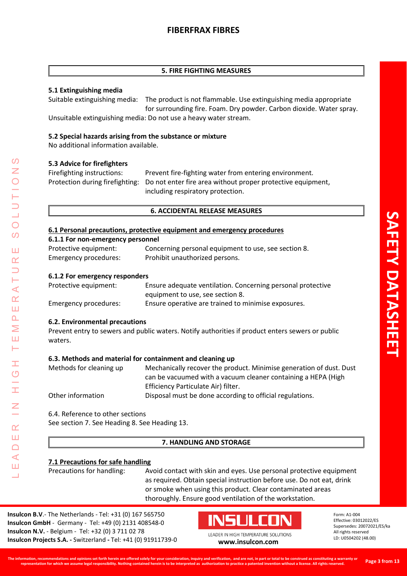#### **5. FIRE FIGHTING MEASURES**

### **5.1 Extinguishing media**

Suitable extinguishing media: The product is not flammable. Use extinguishing media appropriate for surrounding fire. Foam. Dry powder. Carbon dioxide. Water spray. Unsuitable extinguishing media: Do not use a heavy water stream.

### **5.2 Special hazards arising from the substance or mixture**

No additional information available.

#### **5.3 Advice for firefighters**

| Firefighting instructions: | Prevent fire-fighting water from entering environment.                                      |
|----------------------------|---------------------------------------------------------------------------------------------|
|                            | Protection during firefighting: Do not enter fire area without proper protective equipment, |
|                            | including respiratory protection.                                                           |

#### **6. ACCIDENTAL RELEASE MEASURES**

#### **6.1 Personal precautions, protective equipment and emergency procedures**

| 6.1.1 For non-emergency personnel |  |
|-----------------------------------|--|
|-----------------------------------|--|

| Protective equipment: | Concerning personal equipment to use, see section 8. |
|-----------------------|------------------------------------------------------|
| Emergency procedures: | Prohibit unauthorized persons.                       |

#### **6.1.2 For emergency responders**

| Protective equipment: | Ensure adequate ventilation. Concerning personal protective |
|-----------------------|-------------------------------------------------------------|
|                       | equipment to use, see section 8.                            |
| Emergency procedures: | Ensure operative are trained to minimise exposures.         |

#### **6.2. Environmental precautions**

LEADER IN HIGH TEMPERATURE SOLUTIONS

Ŧ  $\overline{C}$ 

I

 $\alpha$ Ш  $\Box$  $\triangleleft$ Ш  $\overline{\phantom{0}}$ 

 $\prec$  $\alpha$ Ш  $\overline{\mathbf{r}}$ Σ Ш  $\vdash$ 

 $\Omega$ 

 $\bigcirc$  $\overline{O}$ 

Ш  $\alpha$ 

> Prevent entry to sewers and public waters. Notify authorities if product enters sewers or public waters.

#### **6.3. Methods and material for containment and cleaning up**

| Methods for cleaning up | Mechanically recover the product. Minimise generation of dust. Dust |
|-------------------------|---------------------------------------------------------------------|
|                         | can be vacuumed with a vacuum cleaner containing a HEPA (High       |
|                         | Efficiency Particulate Air) filter.                                 |
| Other information       | Disposal must be done according to official regulations.            |

6.4. Reference to other sections See section 7. See Heading 8. See Heading 13.

#### **7. HANDLING AND STORAGE**

#### **7.1 Precautions for safe handling**

Precautions for handling: Avoid contact with skin and eyes. Use personal protective equipment as required. Obtain special instruction before use. Do not eat, drink or smoke when using this product. Clear contaminated areas thoroughly. Ensure good ventilation of the workstation.

**Insulcon B.V**.- The Netherlands - Tel: +31 (0) 167 565750 **Insulcon GmbH** - Germany - Tel: +49 (0) 2131 408548-0 **Insulcon N.V.** - Belgium - Tel: +32 (0) 3 711 02 78 **Insulcon Projects S.A. -** Switzerland **-** Tel: +41 (0) 91911739-0 **[www.insulcon.com](http://www.insulcon.com/)**

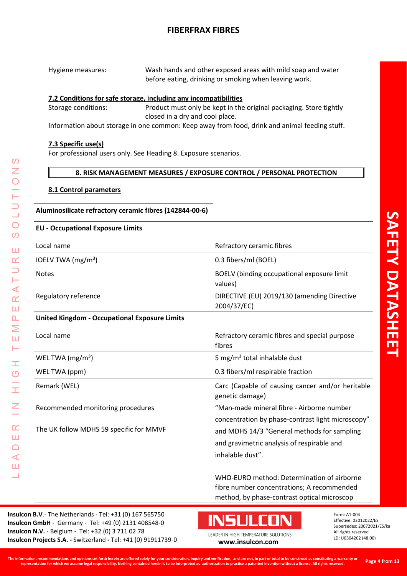| Hygiene measures: | Wash hands and other exposed areas with mild soap and water |
|-------------------|-------------------------------------------------------------|
|                   | before eating, drinking or smoking when leaving work.       |

### **7.2 Conditions for safe storage, including any incompatibilities**

Storage conditions: Product must only be kept in the original packaging. Store tightly closed in a dry and cool place.

Information about storage in one common: Keep away from food, drink and animal feeding stuff.

#### **7.3 Specific use(s)**

For professional users only. See Heading 8. Exposure scenarios.

#### **8. RISK MANAGEMENT MEASURES / EXPOSURE CONTROL / PERSONAL PROTECTION**

#### **8.1 Control parameters**

LEADER IN HIGH TEMPERATURE SOLUTIONS

Ŧ  $\overline{\mathcal{O}}$ 

Ŧ

 $\overline{a}$ 

 $\alpha$ Ш  $\Box$  $\triangleleft$ Ш  $\overline{\phantom{0}}$ 

 $\prec$  $\alpha$ Ш  $\overline{\mathbf{r}}$ Σ Ш Н

 $\Omega$ 

 $\overline{O}$  $\mathcal{O}$ 

Ш  $\alpha$  $\Box$ 

**Aluminosilicate refractory ceramic fibres (142844-00-6)** 

# **EU - Occupational Exposure Limits**  Local name Refractory ceramic fibres  $\vert$  IOELV TWA (mg/m<sup>3</sup>)  $\vert$  0.3 fibers/ml (BOEL) Notes **BOELV** (binding occupational exposure limit values) Regulatory reference **DIRECTIVE (EU) 2019/130 (amending Directive** 2004/37/EC) **United Kingdom - Occupational Exposure Limits**  Local name Refractory ceramic fibres and special purpose fibres WEL TWA  $(mg/m<sup>3</sup>)$  6 mg/m<sup>3</sup> total inhalable dust WEL TWA (ppm) 1.1 and 2.03 fibers/ml respirable fraction Remark (WEL) Carc (Capable of causing cancer and/or heritable of causing cancer and/or heritable genetic damage) Recommended monitoring procedures The UK follow MDHS 59 specific for MMVF "Man-made mineral fibre - Airborne number concentration by phase-contrast light microscopy" and MDHS 14/3 "General methods for sampling and gravimetric analysis of respirable and inhalable dust". WHO-EURO method: Determination of airborne fibre number concentrations; A recommended method, by phase-contrast optical microscop

**Insulcon B.V**.- The Netherlands - Tel: +31 (0) 167 565750 **Insulcon GmbH** - Germany - Tel: +49 (0) 2131 408548-0 **Insulcon N.V.** - Belgium - Tel: +32 (0) 3 711 02 78 **Insulcon Projects S.A. -** Switzerland **-** Tel: +41 (0) 91911739-0 **[www.insulcon.com](http://www.insulcon.com/)**

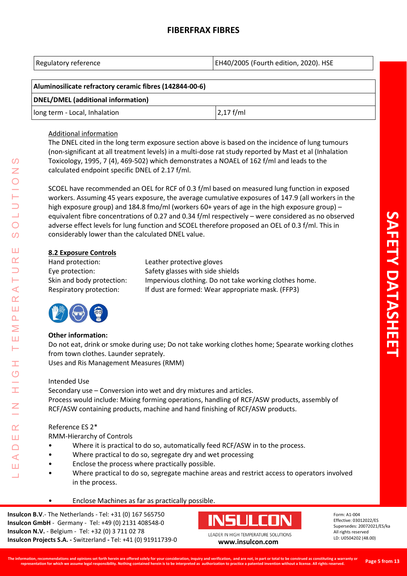| Regulatory reference | EH40/2005 (Fourth edition, 2020). HSE |
|----------------------|---------------------------------------|
|----------------------|---------------------------------------|

| Aluminosilicate refractory ceramic fibres (142844-00-6) |              |
|---------------------------------------------------------|--------------|
| DNEL/DMEL (additional information)                      |              |
| long term - Local, Inhalation                           | $ 2,17$ f/ml |

#### Additional information

The DNEL cited in the long term exposure section above is based on the incidence of lung tumours (non-significant at all treatment levels) in a multi-dose rat study reported by Mast et al (Inhalation Toxicology, 1995, 7 (4), 469-502) which demonstrates a NOAEL of 162 f/ml and leads to the calculated endpoint specific DNEL of 2.17 f/ml.

SCOEL have recommended an OEL for RCF of 0.3 f/ml based on measured lung function in exposed workers. Assuming 45 years exposure, the average cumulative exposures of 147.9 (all workers in the high exposure group) and 184.8 fmo/ml (workers 60+ years of age in the high exposure group) – equivalent fibre concentrations of 0.27 and 0.34 f/ml respectively – were considered as no observed adverse effect levels for lung function and SCOEL therefore proposed an OEL of 0.3 f/ml. This in considerably lower than the calculated DNEL value.

## **8.2 Exposure Controls**

| Hand protection:          | Leather protective gloves                              |
|---------------------------|--------------------------------------------------------|
| Eye protection:           | Safety glasses with side shields                       |
| Skin and body protection: | Impervious clothing. Do not take working clothes home. |
| Respiratory protection:   | If dust are formed: Wear appropriate mask. (FFP3)      |



LEADER IN HIGH TEMPERATURE SOLUTIONS

Ŧ  $\overline{O}$ 

 $\alpha$ Ш  $\cap$  $\blacktriangleleft$ Ш

 $\prec$  $\alpha$ Ш  $\overline{\mathbf{r}}$ Σ Ш Н

 $\Omega$  $\overline{z}$ 

 $\bigcirc$  $\Omega$ 

Ш  $\alpha$ 

## **Other information:**

Do not eat, drink or smoke during use; Do not take working clothes home; Spearate working clothes from town clothes. Launder seprately. Uses and Ris Management Measures (RMM)

## Intended Use

Secondary use – Conversion into wet and dry mixtures and articles. Process would include: Mixing forming operations, handling of RCF/ASW products, assembly of RCF/ASW containing products, machine and hand finishing of RCF/ASW products.

## Reference ES 2\*

RMM-Hierarchy of Controls

- Where it is practical to do so, automatically feed RCF/ASW in to the process.
- Where practical to do so, segregate dry and wet processing
- Enclose the process where practically possible.
- Where practical to do so, segregate machine areas and restrict access to operators involved in the process.
- Enclose Machines as far as practically possible.

**Insulcon B.V**.- The Netherlands - Tel: +31 (0) 167 565750 **Insulcon GmbH** - Germany - Tel: +49 (0) 2131 408548-0 **Insulcon N.V.** - Belgium - Tel: +32 (0) 3 711 02 78 **Insulcon Projects S.A. -** Switzerland **-** Tel: +41 (0) 91911739-0 **[www.insulcon.com](http://www.insulcon.com/)**

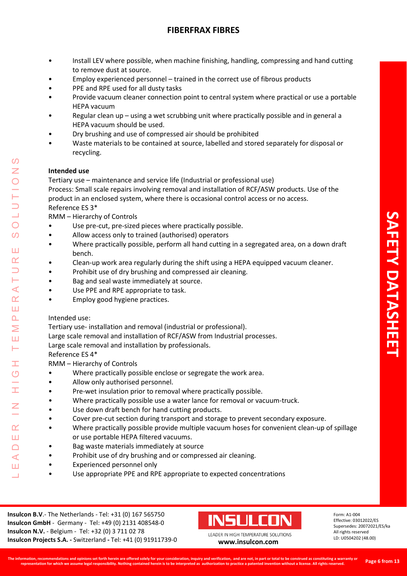- Install LEV where possible, when machine finishing, handling, compressing and hand cutting to remove dust at source.
- Employ experienced personnel trained in the correct use of fibrous products
- PPE and RPE used for all dusty tasks
- Provide vacuum cleaner connection point to central system where practical or use a portable HEPA vacuum
- Regular clean up using a wet scrubbing unit where practically possible and in general a HEPA vacuum should be used.
- Dry brushing and use of compressed air should be prohibited
- Waste materials to be contained at source, labelled and stored separately for disposal or recycling.

## **Intended use**

Tertiary use – maintenance and service life (Industrial or professional use)

Process: Small scale repairs involving removal and installation of RCF/ASW products. Use of the product in an enclosed system, where there is occasional control access or no access.

## Reference ES 3\*

RMM – Hierarchy of Controls

- Use pre-cut, pre-sized pieces where practically possible.
- Allow access only to trained (authorised) operators
- Where practically possible, perform all hand cutting in a segregated area, on a down draft bench.
- Clean-up work area regularly during the shift using a HEPA equipped vacuum cleaner.
- Prohibit use of dry brushing and compressed air cleaning.
- Bag and seal waste immediately at source.
- Use PPE and RPE appropriate to task.
- Employ good hygiene practices.

## Intended use:

LEADER IN HIGH TEMPERATURE SOLUTIONS

Ŧ  $\overline{O}$ 

 $\alpha$ Ш  $\Box$  $\blacktriangleleft$ Ш  $\overline{\phantom{0}}$ 

⋖  $\alpha$ Ш  $\overline{\mathbf{r}}$ Σ Ш Н

 $\Omega$  $\overline{z}$ 

 $\bigcirc$  $\Omega$ 

Ш  $\alpha$ 

Tertiary use- installation and removal (industrial or professional).

Large scale removal and installation of RCF/ASW from Industrial processes.

Large scale removal and installation by professionals.

Reference ES 4\*

RMM – Hierarchy of Controls

- Where practically possible enclose or segregate the work area.
- Allow only authorised personnel.
- Pre-wet insulation prior to removal where practically possible.
- Where practically possible use a water lance for removal or vacuum-truck.
- Use down draft bench for hand cutting products.
- Cover pre-cut section during transport and storage to prevent secondary exposure.
- Where practically possible provide multiple vacuum hoses for convenient clean-up of spillage or use portable HEPA filtered vacuums.
- Bag waste materials immediately at source
- Prohibit use of dry brushing and or compressed air cleaning.
- Experienced personnel only
- Use appropriate PPE and RPE appropriate to expected concentrations

**Insulcon B.V**.- The Netherlands - Tel: +31 (0) 167 565750 **Insulcon GmbH** - Germany - Tel: +49 (0) 2131 408548-0 **Insulcon N.V.** - Belgium - Tel: +32 (0) 3 711 02 78 **Insulcon Projects S.A. -** Switzerland **-** Tel: +41 (0) 91911739-0 **[www.insulcon.com](http://www.insulcon.com/)**

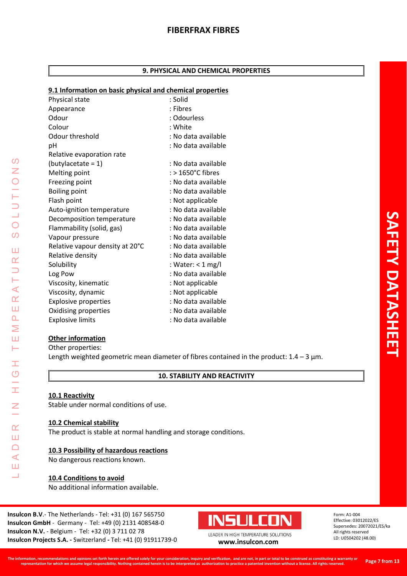## **9. PHYSICAL AND CHEMICAL PROPERTIES**

#### **9.1 Information on basic physical and chemical properties**

| s.i miormation on pasic physical and chemical properties |                     |
|----------------------------------------------------------|---------------------|
| Physical state                                           | : Solid             |
| Appearance                                               | : Fibres            |
| Odour                                                    | : Odourless         |
| Colour                                                   | : White             |
| Odour threshold                                          | : No data available |
| рH                                                       | : No data available |
| Relative evaporation rate                                |                     |
| $(butylaceate = 1)$                                      | : No data available |
| Melting point                                            | $:$ > 1650°C fibres |
| Freezing point                                           | : No data available |
| <b>Boiling point</b>                                     | : No data available |
| Flash point                                              | : Not applicable    |
| Auto-ignition temperature                                | : No data available |
| Decomposition temperature                                | : No data available |
| Flammability (solid, gas)                                | : No data available |
| Vapour pressure                                          | : No data available |
| Relative vapour density at 20°C                          | : No data available |
| Relative density                                         | : No data available |
| Solubility                                               | : Water: < 1 mg/l   |
| Log Pow                                                  | : No data available |
| Viscosity, kinematic                                     | : Not applicable    |
| Viscosity, dynamic                                       | : Not applicable    |
| <b>Explosive properties</b>                              | : No data available |
| Oxidising properties                                     | : No data available |
| <b>Explosive limits</b>                                  | : No data available |

#### **Other information**

LEADER IN HIGH TEMPERATURE SOLUTIONS

Ŧ  $\circ$  $\frac{1}{1}$ 

 $\overline{z}$ 

 $\alpha$ Ш  $\Box$  $\triangleleft$ Ш Ц

 $\mathcal{O}$  $\bar{z}$ 

 $\overline{O}$ 

 $\overline{O}$ 

Ш  $\alpha$  $\Box$ H  $\prec$  $\alpha$ Ш  $\Delta$ Σ Ш Н

Other properties: Length weighted geometric mean diameter of fibres contained in the product:  $1.4 - 3 \mu m$ .

#### **10. STABILITY AND REACTIVITY**

#### **10.1 Reactivity**

Stable under normal conditions of use.

#### **10.2 Chemical stability**

The product is stable at normal handling and storage conditions.

#### **10.3 Possibility of hazardous reactions**

No dangerous reactions known.

#### **10.4 Conditions to avoid**

No additional information available.

**Insulcon B.V**.- The Netherlands - Tel: +31 (0) 167 565750 **Insulcon GmbH** - Germany - Tel: +49 (0) 2131 408548-0 **Insulcon N.V.** - Belgium - Tel: +32 (0) 3 711 02 78 **Insulcon Projects S.A. -** Switzerland **-** Tel: +41 (0) 91911739-0 **[www.insulcon.com](http://www.insulcon.com/)**

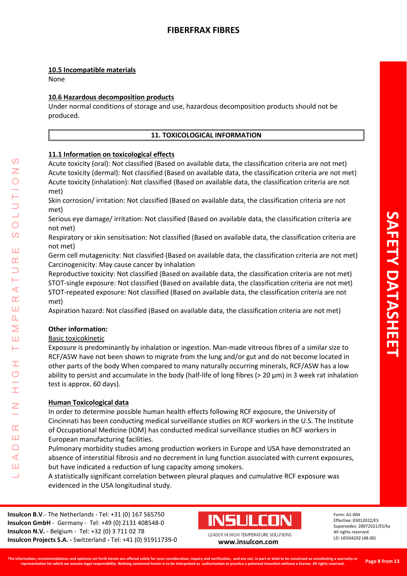## **10.5 Incompatible materials**

None

## **10.6 Hazardous decomposition products**

Under normal conditions of storage and use, hazardous decomposition products should not be produced.

#### **11. TOXICOLOGICAL INFORMATION**

#### **11.1 Information on toxicological effects**

Acute toxicity (oral): Not classified (Based on available data, the classification criteria are not met) Acute toxicity (dermal): Not classified (Based on available data, the classification criteria are not met) Acute toxicity (inhalation): Not classified (Based on available data, the classification criteria are not met)

Skin corrosion/ irritation: Not classified (Based on available data, the classification criteria are not met)

Serious eye damage/ irritation: Not classified (Based on available data, the classification criteria are not met)

Respiratory or skin sensitisation: Not classified (Based on available data, the classification criteria are not met)

Germ cell mutagenicity: Not classified (Based on available data, the classification criteria are not met) Carcinogenicity: May cause cancer by inhalation

Reproductive toxicity: Not classified (Based on available data, the classification criteria are not met) STOT-single exposure: Not classified (Based on available data, the classification criteria are not met) STOT-repeated exposure: Not classified (Based on available data, the classification criteria are not met)

Aspiration hazard: Not classified (Based on available data, the classification criteria are not met)

## **Other information:**

LEADER IN HIGH TEMPERATURE SOLUTIONS

Ŧ  $\overline{O}$ 

 $\alpha$ Ш  $\Box$  $\blacktriangleleft$ Ш  $\overline{\phantom{0}}$ 

 $\blacktriangleleft$  $\underline{\alpha}$ Ш  $\overline{\mathbf{r}}$  $\geq$ Ш Н

 $\Omega$ 

 $\bigcirc$  $\Omega$ 

Ш  $\alpha$ 

#### Basic toxicokinetic

Exposure is predominantly by inhalation or ingestion. Man-made vitreous fibres of a similar size to RCF/ASW have not been shown to migrate from the lung and/or gut and do not become located in other parts of the body When compared to many naturally occurring minerals, RCF/ASW has a low ability to persist and accumulate in the body (half-life of long fibres (> 20 μm) in 3 week rat inhalation test is approx. 60 days).

#### **Human Toxicological data**

In order to determine possible human health effects following RCF exposure, the University of Cincinnati has been conducting medical surveillance studies on RCF workers in the U.S. The Institute of Occupational Medicine (IOM) has conducted medical surveillance studies on RCF workers in European manufacturing facilities.

Pulmonary morbidity studies among production workers in Europe and USA have demonstrated an absence of interstitial fibrosis and no decrement in lung function associated with current exposures, but have indicated a reduction of lung capacity among smokers.

A statistically significant correlation between pleural plaques and cumulative RCF exposure was evidenced in the USA longitudinal study.

**Insulcon B.V**.- The Netherlands - Tel: +31 (0) 167 565750 **Insulcon GmbH** - Germany - Tel: +49 (0) 2131 408548-0 **Insulcon N.V.** - Belgium - Tel: +32 (0) 3 711 02 78 **Insulcon Projects S.A. -** Switzerland **-** Tel: +41 (0) 91911739-0 **[www.insulcon.com](http://www.insulcon.com/)**

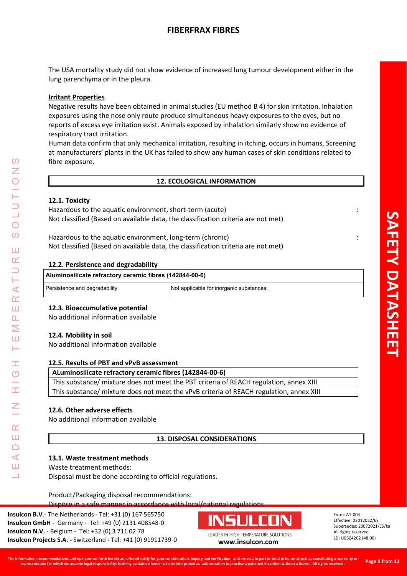The USA mortality study did not show evidence of increased lung tumour development either in the lung parenchyma or in the pleura.

## **Irritant Properties**

Negative results have been obtained in animal studies (EU method B 4) for skin irritation. Inhalation exposures using the nose only route produce simultaneous heavy exposures to the eyes, but no reports of excess eye irritation exist. Animals exposed by inhalation similarly show no evidence of respiratory tract irritation.

Human data confirm that only mechanical irritation, resulting in itching, occurs in humans, Screening at manufacturers' plants in the UK has failed to show any human cases of skin conditions related to fibre exposure.

#### **12. ECOLOGICAL INFORMATION**

#### **12.1. Toxicity**

Hazardous to the aquatic environment, short-term (acute) : Not classified (Based on available data, the classification criteria are not met)

Hazardous to the aquatic environment, long-term (chronic) : Not classified (Based on available data, the classification criteria are not met)

#### **12.2. Persistence and degradability**

| Aluminosilicate refractory ceramic fibres (142844-00-6) |                                          |
|---------------------------------------------------------|------------------------------------------|
| Persistence and degradability                           | Not applicable for inorganic substances. |

#### **12.3. Bioaccumulative potential**

No additional information available

#### **12.4. Mobility in soil**

LEADER IN HIGH TEMPERATURE SOLUTIONS

Ŧ  $\overline{O}$ 

 $\alpha$ Ш  $\cap$  $\blacktriangleleft$ Ш  $\overline{\phantom{0}}$ 

 $\prec$  $\alpha$ Ш  $\overline{\mathbf{r}}$ Σ Ш Н

 $\Omega$ 

 $\bigcirc$ 

 $\Omega$ 

Ш  $\alpha$ 

No additional information available

#### **12.5. Results of PBT and vPvB assessment**

# **ALuminosilicate refractory ceramic fibres (142844-00-6)**

This substance/ mixture does not meet the PBT criteria of REACH regulation, annex XIII This substance/ mixture does not meet the vPvB criteria of REACH regulation, annex XIII

#### **12.6. Other adverse effects**

No additional information available

## **13. DISPOSAL CONSIDERATIONS**

#### **13.1. Waste treatment methods**

Waste treatment methods:

Disposal must be done according to official regulations.

#### Product/Packaging disposal recommendations:

Dispose in a safe manner in accordance with local/national regulation

**Insulcon B.V**.- The Netherlands - Tel: +31 (0) 167 565750 **Insulcon GmbH** - Germany - Tel: +49 (0) 2131 408548-0 **Insulcon N.V.** - Belgium - Tel: +32 (0) 3 711 02 78 **Insulcon Projects S.A. -** Switzerland **-** Tel: +41 (0) 91911739-0 **[www.insulcon.com](http://www.insulcon.com/)**

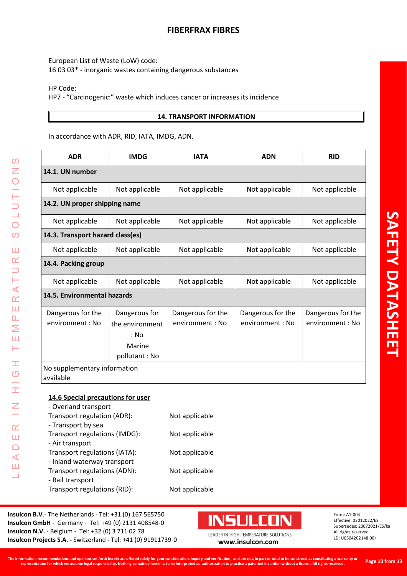European List of Waste (LoW) code: 16 03 03\* - inorganic wastes containing dangerous substances

HP Code:

LEADER IN HIGH TEMPERATURE SOLUTIONS

 $\pm$ 

 $\frac{C}{L}$ 

 $\leq$ 

 $\alpha$ Ш  $\Box$  $\triangleleft$ Ш Ц

 $\Omega$ Z

LUTIO

 $\overline{O}$ 

 $\overline{O}$ 

Ш  $\alpha$  $\Rightarrow$ Н  $\prec$  $\alpha$ Ш  $\Delta$ Σ Ш Н

HP7 - "Carcinogenic:" waste which induces cancer or increases its incidence

#### **14. TRANSPORT INFORMATION**

In accordance with ADR, RID, IATA, IMDG, ADN.

| <b>ADR</b>                                                                                                                                                                                                                                                         | <b>IMDG</b>                                                         | <b>IATA</b>                                                          | <b>ADN</b>                           | <b>RID</b>                           |
|--------------------------------------------------------------------------------------------------------------------------------------------------------------------------------------------------------------------------------------------------------------------|---------------------------------------------------------------------|----------------------------------------------------------------------|--------------------------------------|--------------------------------------|
| 14.1. UN number                                                                                                                                                                                                                                                    |                                                                     |                                                                      |                                      |                                      |
| Not applicable                                                                                                                                                                                                                                                     | Not applicable                                                      | Not applicable                                                       | Not applicable                       | Not applicable                       |
| 14.2. UN proper shipping name                                                                                                                                                                                                                                      |                                                                     |                                                                      |                                      |                                      |
| Not applicable                                                                                                                                                                                                                                                     | Not applicable                                                      | Not applicable                                                       | Not applicable                       | Not applicable                       |
| 14.3. Transport hazard class(es)                                                                                                                                                                                                                                   |                                                                     |                                                                      |                                      |                                      |
| Not applicable                                                                                                                                                                                                                                                     | Not applicable                                                      | Not applicable                                                       | Not applicable                       | Not applicable                       |
| 14.4. Packing group                                                                                                                                                                                                                                                |                                                                     |                                                                      |                                      |                                      |
| Not applicable                                                                                                                                                                                                                                                     | Not applicable                                                      | Not applicable                                                       | Not applicable                       | Not applicable                       |
| 14.5. Environmental hazards                                                                                                                                                                                                                                        |                                                                     |                                                                      |                                      |                                      |
| Dangerous for the<br>environment : No                                                                                                                                                                                                                              | Dangerous for<br>the environment<br>: No<br>Marine<br>pollutant: No | Dangerous for the<br>environment: No                                 | Dangerous for the<br>environment: No | Dangerous for the<br>environment: No |
| No supplementary information<br>available                                                                                                                                                                                                                          |                                                                     |                                                                      |                                      |                                      |
| 14.6 Special precautions for user<br>- Overland transport<br>Transport regulation (ADR):<br>- Transport by sea<br>Transport regulations (IMDG):<br>- Air transport<br>Transport regulations (IATA):<br>- Inland waterway transport<br>Transport regulations (ADN): |                                                                     | Not applicable<br>Not applicable<br>Not applicable<br>Not applicable |                                      |                                      |
| - Rail transport<br>Transport regulations (RID):                                                                                                                                                                                                                   |                                                                     | Not applicable                                                       |                                      |                                      |

**Insulcon B.V**.- The Netherlands - Tel: +31 (0) 167 565750 **Insulcon GmbH** - Germany - Tel: +49 (0) 2131 408548-0 **Insulcon N.V.** - Belgium - Tel: +32 (0) 3 711 02 78 **Insulcon N.V.** - Beigium - Tel: +32 (0) 3 711 02 78<br> **Insulcon Projects S.A.** - Switzerland - Tel: +41 (0) 91911739-0 **[www.insulcon.com](http://www.insulcon.com/)** 

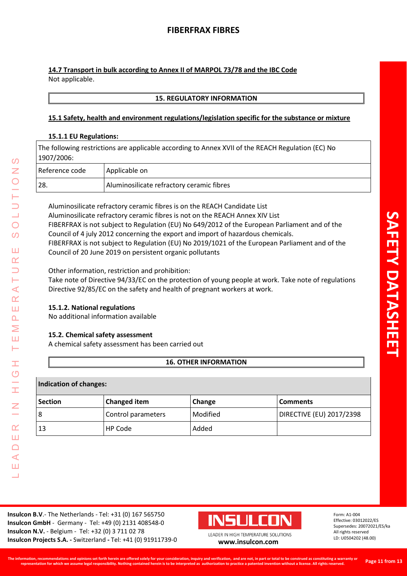**14.7 Transport in bulk according to Annex II of MARPOL 73/78 and the IBC Code** Not applicable.

### **15. REGULATORY INFORMATION**

## **15.1 Safety, health and environment regulations/legislation specific for the substance or mixture**

#### **15.1.1 EU Regulations:**

The following restrictions are applicable according to Annex XVII of the REACH Regulation (EC) No 1907/2006:

| Reference code | Applicable on                             |
|----------------|-------------------------------------------|
| 28.            | Aluminosilicate refractory ceramic fibres |

Aluminosilicate refractory ceramic fibres is on the REACH Candidate List Aluminosilicate refractory ceramic fibres is not on the REACH Annex XIV List FIBERFRAX is not subject to Regulation (EU) No 649/2012 of the European Parliament and of the Council of 4 july 2012 concerning the export and import of hazardous chemicals. FIBERFRAX is not subject to Regulation (EU) No 2019/1021 of the European Parliament and of the Council of 20 June 2019 on persistent organic pollutants

Other information, restriction and prohibition:

Take note of Directive 94/33/EC on the protection of young people at work. Take note of regulations Directive 92/85/EC on the safety and health of pregnant workers at work.

## **15.1.2. National regulations**

No additional information available

#### **15.2. Chemical safety assessment**

A chemical safety assessment has been carried out

## **16. OTHER INFORMATION**

#### **Indication of changes:**

LEADER IN HIGH TEMPERATURE SOLUTIONS

Ŧ  $\circ$ 

I

 $\alpha$ Ш  $\Box$  $\blacktriangleleft$ Ш  $\overline{\phantom{0}}$ 

 $\omega$ Z

 $\bigcirc$  $\Omega$ 

Ш  $\alpha$ 

Н  $\blacktriangleleft$  $\alpha$ Ш  $\overline{\mathbf{r}}$ Σ Ш Н

| <b>Section</b> | <b>Changed item</b> | Change   | <b>Comments</b>          |
|----------------|---------------------|----------|--------------------------|
| 8              | Control parameters  | Modified | DIRECTIVE (EU) 2017/2398 |
| 13             | HP Code             | Added    |                          |

**Insulcon B.V**.- The Netherlands - Tel: +31 (0) 167 565750 **Insulcon GmbH** - Germany - Tel: +49 (0) 2131 408548-0 **Insulcon N.V.** - Belgium - Tel: +32 (0) 3 711 02 78 **Insulcon Projects S.A. -** Switzerland **-** Tel: +41 (0) 91911739-0 **[www.insulcon.com](http://www.insulcon.com/)**

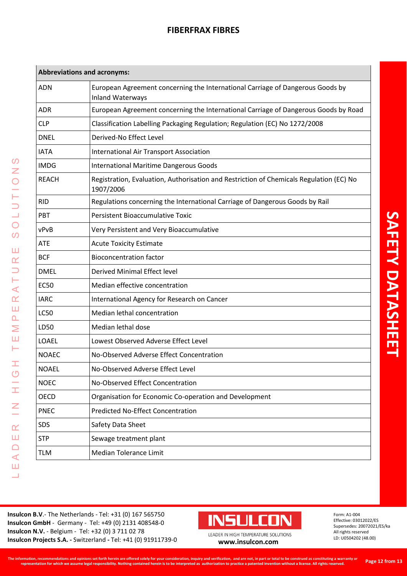| <b>Abbreviations and acronyms:</b> |                                                                                                           |  |
|------------------------------------|-----------------------------------------------------------------------------------------------------------|--|
| <b>ADN</b>                         | European Agreement concerning the International Carriage of Dangerous Goods by<br><b>Inland Waterways</b> |  |
| <b>ADR</b>                         | European Agreement concerning the International Carriage of Dangerous Goods by Road                       |  |
| <b>CLP</b>                         | Classification Labelling Packaging Regulation; Regulation (EC) No 1272/2008                               |  |
| <b>DNEL</b>                        | Derived-No Effect Level                                                                                   |  |
| <b>IATA</b>                        | <b>International Air Transport Association</b>                                                            |  |
| <b>IMDG</b>                        | <b>International Maritime Dangerous Goods</b>                                                             |  |
| <b>REACH</b>                       | Registration, Evaluation, Authorisation and Restriction of Chemicals Regulation (EC) No<br>1907/2006      |  |
| <b>RID</b>                         | Regulations concerning the International Carriage of Dangerous Goods by Rail                              |  |
| PBT                                | <b>Persistent Bioaccumulative Toxic</b>                                                                   |  |
| vPvB                               | Very Persistent and Very Bioaccumulative                                                                  |  |
| <b>ATE</b>                         | <b>Acute Toxicity Estimate</b>                                                                            |  |
| <b>BCF</b>                         | <b>Bioconcentration factor</b>                                                                            |  |
| <b>DMEL</b>                        | Derived Minimal Effect level                                                                              |  |
| <b>EC50</b>                        | Median effective concentration                                                                            |  |
| <b>IARC</b>                        | International Agency for Research on Cancer                                                               |  |
| <b>LC50</b>                        | Median lethal concentration                                                                               |  |
| LD50                               | Median lethal dose                                                                                        |  |
| LOAEL                              | Lowest Observed Adverse Effect Level                                                                      |  |
| <b>NOAEC</b>                       | No-Observed Adverse Effect Concentration                                                                  |  |
| <b>NOAEL</b>                       | No-Observed Adverse Effect Level                                                                          |  |
| <b>NOEC</b>                        | No-Observed Effect Concentration                                                                          |  |
| OECD                               | Organisation for Economic Co-operation and Development                                                    |  |
| <b>PNEC</b>                        | <b>Predicted No-Effect Concentration</b>                                                                  |  |
| SDS                                | Safety Data Sheet                                                                                         |  |
| <b>STP</b>                         | Sewage treatment plant                                                                                    |  |
| <b>TLM</b>                         | <b>Median Tolerance Limit</b>                                                                             |  |
|                                    |                                                                                                           |  |

**Insulcon B.V**.- The Netherlands - Tel: +31 (0) 167 565750 **Insulcon GmbH** - Germany - Tel: +49 (0) 2131 408548-0 **Insulcon N.V.** - Belgium - Tel: +32 (0) 3 711 02 78 **Insulcon N.V.** - Beigium - Tel: +32 (0) 3 711 02 78<br> **Insulcon Projects S.A.** - Switzerland - Tel: +41 (0) 91911739-0 **[www.insulcon.com](http://www.insulcon.com/)** 

LEADER IN HIGH TEMPERATURE SOLUTIONS

HOH

 $\leq$ 

 $\alpha$ Ш  $\Box$  $\prec$ Ш  $\overline{\phantom{0}}$ 

OLUTIONS

 $\overline{O}$ 

Ш

TUR

 $\triangleleft$  $\alpha$ Ш  $\Delta$  $\geq$ Ш  $\vdash$